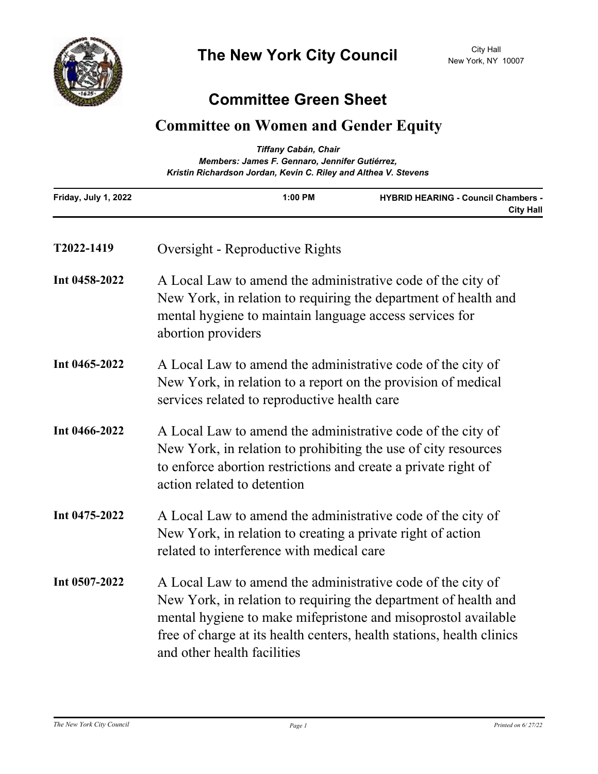

## **Committee Green Sheet**

## **Committee on Women and Gender Equity**

| Tiffany Cabán, Chair<br>Members: James F. Gennaro, Jennifer Gutiérrez,<br>Kristin Richardson Jordan, Kevin C. Riley and Althea V. Stevens |                                                                                                                                                                                                                                                                                                         |                                                                |
|-------------------------------------------------------------------------------------------------------------------------------------------|---------------------------------------------------------------------------------------------------------------------------------------------------------------------------------------------------------------------------------------------------------------------------------------------------------|----------------------------------------------------------------|
| Friday, July 1, 2022                                                                                                                      | 1:00 PM                                                                                                                                                                                                                                                                                                 | <b>HYBRID HEARING - Council Chambers -</b><br><b>City Hall</b> |
| T2022-1419                                                                                                                                | Oversight - Reproductive Rights                                                                                                                                                                                                                                                                         |                                                                |
| Int 0458-2022                                                                                                                             | A Local Law to amend the administrative code of the city of<br>New York, in relation to requiring the department of health and<br>mental hygiene to maintain language access services for<br>abortion providers                                                                                         |                                                                |
| Int 0465-2022                                                                                                                             | A Local Law to amend the administrative code of the city of<br>New York, in relation to a report on the provision of medical<br>services related to reproductive health care                                                                                                                            |                                                                |
| Int 0466-2022                                                                                                                             | A Local Law to amend the administrative code of the city of<br>New York, in relation to prohibiting the use of city resources<br>to enforce abortion restrictions and create a private right of<br>action related to detention                                                                          |                                                                |
| Int 0475-2022                                                                                                                             | A Local Law to amend the administrative code of the city of<br>New York, in relation to creating a private right of action<br>related to interference with medical care                                                                                                                                 |                                                                |
| Int 0507-2022                                                                                                                             | A Local Law to amend the administrative code of the city of<br>New York, in relation to requiring the department of health and<br>mental hygiene to make mifepristone and misoprostol available<br>free of charge at its health centers, health stations, health clinics<br>and other health facilities |                                                                |